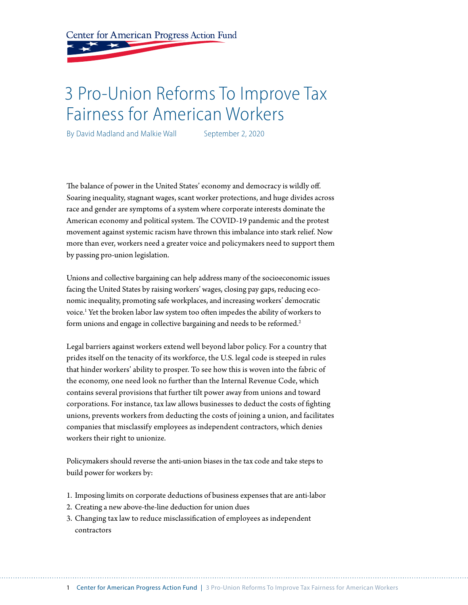Center for American Progress Action Fund

# 3 Pro-Union Reforms To Improve Tax Fairness for American Workers

By David Madland and Malkie Wall September 2, 2020

The balance of power in the United States' economy and democracy is wildly off. Soaring inequality, stagnant wages, scant worker protections, and huge divides across race and gender are symptoms of a system where corporate interests dominate the American economy and political system. The COVID-19 pandemic and the protest movement against systemic racism have thrown this imbalance into stark relief. Now more than ever, workers need a greater voice and policymakers need to support them by passing pro-union legislation.

Unions and collective bargaining can help address many of the socioeconomic issues facing the United States by raising workers' wages, closing pay gaps, reducing economic inequality, promoting safe workplaces, and increasing workers' democratic voice.1 Yet the broken labor law system too often impedes the ability of workers to form unions and engage in collective bargaining and needs to be reformed.<sup>2</sup>

Legal barriers against workers extend well beyond labor policy. For a country that prides itself on the tenacity of its workforce, the U.S. legal code is steeped in rules that hinder workers' ability to prosper. To see how this is woven into the fabric of the economy, one need look no further than the Internal Revenue Code, which contains several provisions that further tilt power away from unions and toward corporations. For instance, tax law allows businesses to deduct the costs of fighting unions, prevents workers from deducting the costs of joining a union, and facilitates companies that misclassify employees as independent contractors, which denies workers their right to unionize.

Policymakers should reverse the anti-union biases in the tax code and take steps to build power for workers by:

- 1. Imposing limits on corporate deductions of business expenses that are anti-labor
- 2. Creating a new above-the-line deduction for union dues
- 3. Changing tax law to reduce misclassification of employees as independent contractors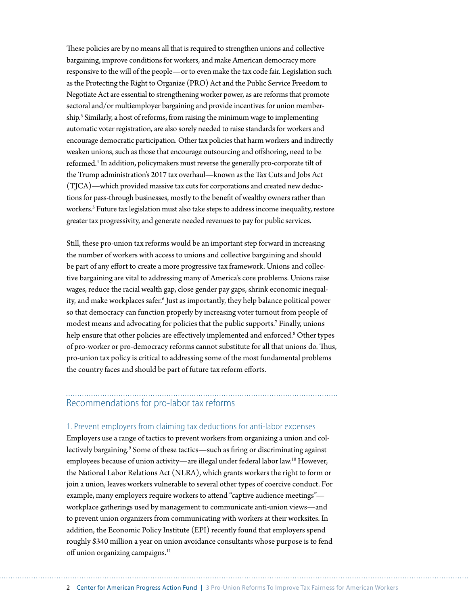These policies are by no means all that is required to strengthen unions and collective bargaining, improve conditions for workers, and make American democracy more responsive to the will of the people—or to even make the tax code fair. Legislation such as the Protecting the Right to Organize (PRO) Act and the Public Service Freedom to Negotiate Act are essential to strengthening worker power, as are reforms that promote sectoral and/or multiemployer bargaining and provide incentives for union membership.3 Similarly, a host of reforms, from raising the minimum wage to implementing automatic voter registration, are also sorely needed to raise standards for workers and encourage democratic participation. Other tax policies that harm workers and indirectly weaken unions, such as those that encourage outsourcing and offshoring, need to be reformed.<sup>4</sup> In addition, policymakers must reverse the generally pro-corporate tilt of the Trump administration's 2017 tax overhaul—known as the Tax Cuts and Jobs Act (TJCA)—which provided massive tax cuts for corporations and created new deductions for pass-through businesses, mostly to the benefit of wealthy owners rather than workers.<sup>5</sup> Future tax legislation must also take steps to address income inequality, restore greater tax progressivity, and generate needed revenues to pay for public services.

Still, these pro-union tax reforms would be an important step forward in increasing the number of workers with access to unions and collective bargaining and should be part of any effort to create a more progressive tax framework. Unions and collective bargaining are vital to addressing many of America's core problems. Unions raise wages, reduce the racial wealth gap, close gender pay gaps, shrink economic inequality, and make workplaces safer.<sup>6</sup> Just as importantly, they help balance political power so that democracy can function properly by increasing voter turnout from people of modest means and advocating for policies that the public supports.7 Finally, unions help ensure that other policies are effectively implemented and enforced.<sup>8</sup> Other types of pro-worker or pro-democracy reforms cannot substitute for all that unions do. Thus, pro-union tax policy is critical to addressing some of the most fundamental problems the country faces and should be part of future tax reform efforts.

### Recommendations for pro-labor tax reforms

#### 1. Prevent employers from claiming tax deductions for anti-labor expenses

Employers use a range of tactics to prevent workers from organizing a union and collectively bargaining.<sup>9</sup> Some of these tactics—such as firing or discriminating against employees because of union activity—are illegal under federal labor law.10 However, the National Labor Relations Act (NLRA), which grants workers the right to form or join a union, leaves workers vulnerable to several other types of coercive conduct. For example, many employers require workers to attend "captive audience meetings" workplace gatherings used by management to communicate anti-union views—and to prevent union organizers from communicating with workers at their worksites. In addition, the Economic Policy Institute (EPI) recently found that employers spend roughly \$340 million a year on union avoidance consultants whose purpose is to fend off union organizing campaigns.<sup>11</sup>

2 Center for American Progress Action Fund | 3 Pro-Union Reforms To Improve Tax Fairness for American Workers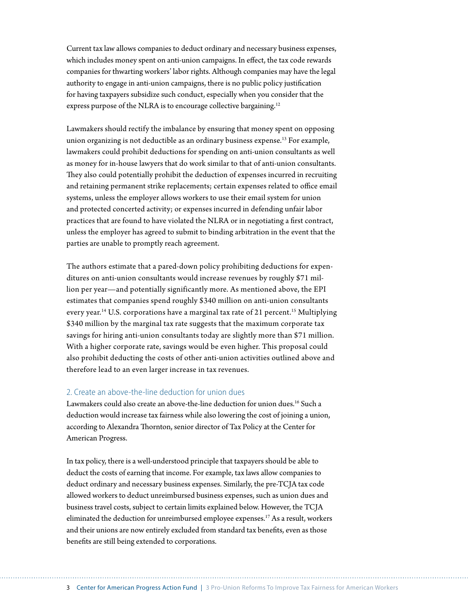Current tax law allows companies to deduct ordinary and necessary business expenses, which includes money spent on anti-union campaigns. In effect, the tax code rewards companies for thwarting workers' labor rights. Although companies may have the legal authority to engage in anti-union campaigns, there is no public policy justification for having taxpayers subsidize such conduct, especially when you consider that the express purpose of the NLRA is to encourage collective bargaining.<sup>12</sup>

Lawmakers should rectify the imbalance by ensuring that money spent on opposing union organizing is not deductible as an ordinary business expense.<sup>13</sup> For example, lawmakers could prohibit deductions for spending on anti-union consultants as well as money for in-house lawyers that do work similar to that of anti-union consultants. They also could potentially prohibit the deduction of expenses incurred in recruiting and retaining permanent strike replacements; certain expenses related to office email systems, unless the employer allows workers to use their email system for union and protected concerted activity; or expenses incurred in defending unfair labor practices that are found to have violated the NLRA or in negotiating a first contract, unless the employer has agreed to submit to binding arbitration in the event that the parties are unable to promptly reach agreement.

The authors estimate that a pared-down policy prohibiting deductions for expenditures on anti-union consultants would increase revenues by roughly \$71 million per year—and potentially significantly more. As mentioned above, the EPI estimates that companies spend roughly \$340 million on anti-union consultants every year.<sup>14</sup> U.S. corporations have a marginal tax rate of 21 percent.<sup>15</sup> Multiplying \$340 million by the marginal tax rate suggests that the maximum corporate tax savings for hiring anti-union consultants today are slightly more than \$71 million. With a higher corporate rate, savings would be even higher. This proposal could also prohibit deducting the costs of other anti-union activities outlined above and therefore lead to an even larger increase in tax revenues.

#### 2. Create an above-the-line deduction for union dues

Lawmakers could also create an above-the-line deduction for union dues.<sup>16</sup> Such a deduction would increase tax fairness while also lowering the cost of joining a union, according to Alexandra Thornton, senior director of Tax Policy at the Center for American Progress.

In tax policy, there is a well-understood principle that taxpayers should be able to deduct the costs of earning that income. For example, tax laws allow companies to deduct ordinary and necessary business expenses. Similarly, the pre-TCJA tax code allowed workers to deduct unreimbursed business expenses, such as union dues and business travel costs, subject to certain limits explained below. However, the TCJA eliminated the deduction for unreimbursed employee expenses.17 As a result, workers and their unions are now entirely excluded from standard tax benefits, even as those benefits are still being extended to corporations.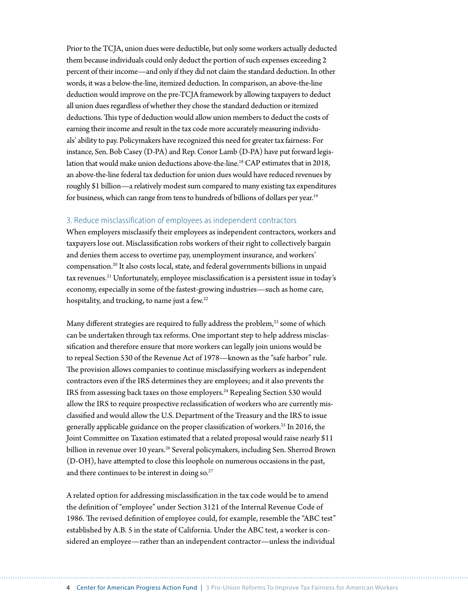Prior to the TCJA, union dues were deductible, but only some workers actually deducted them because individuals could only deduct the portion of such expenses exceeding 2 percent of their income—and only if they did not claim the standard deduction. In other words, it was a below-the-line, itemized deduction. In comparison, an above-the-line deduction would improve on the pre-TCJA framework by allowing taxpayers to deduct all union dues regardless of whether they chose the standard deduction or itemized deductions. This type of deduction would allow union members to deduct the costs of earning their income and result in the tax code more accurately measuring individuals' ability to pay. Policymakers have recognized this need for greater tax fairness: For instance, Sen. Bob Casey (D-PA) and Rep. Conor Lamb (D-PA) have put forward legislation that would make union deductions above-the-line.18 CAP estimates that in 2018, an above-the-line federal tax deduction for union dues would have reduced revenues by roughly \$1 billion—a relatively modest sum compared to many existing tax expenditures for business, which can range from tens to hundreds of billions of dollars per year.<sup>19</sup>

#### 3. Reduce misclassification of employees as independent contractors

When employers misclassify their employees as independent contractors, workers and taxpayers lose out. Misclassification robs workers of their right to collectively bargain and denies them access to overtime pay, unemployment insurance, and workers' compensation.20 It also costs local, state, and federal governments billions in unpaid tax revenues.<sup>21</sup> Unfortunately, employee misclassification is a persistent issue in today's economy, especially in some of the fastest-growing industries—such as home care, hospitality, and trucking, to name just a few.<sup>22</sup>

Many different strategies are required to fully address the problem,<sup>23</sup> some of which can be undertaken through tax reforms. One important step to help address misclassification and therefore ensure that more workers can legally join unions would be to repeal Section 530 of the Revenue Act of 1978—known as the "safe harbor" rule. The provision allows companies to continue misclassifying workers as independent contractors even if the IRS determines they are employees; and it also prevents the IRS from assessing back taxes on those employers.<sup>24</sup> Repealing Section 530 would allow the IRS to require prospective reclassification of workers who are currently misclassified and would allow the U.S. Department of the Treasury and the IRS to issue generally applicable guidance on the proper classification of workers.<sup>25</sup> In 2016, the Joint Committee on Taxation estimated that a related proposal would raise nearly \$11 billion in revenue over 10 years.<sup>26</sup> Several policymakers, including Sen. Sherrod Brown (D-OH), have attempted to close this loophole on numerous occasions in the past, and there continues to be interest in doing so.<sup>27</sup>

A related option for addressing misclassification in the tax code would be to amend the definition of "employee" under Section 3121 of the Internal Revenue Code of 1986. The revised definition of employee could, for example, resemble the "ABC test" established by A.B. 5 in the state of California. Under the ABC test, a worker is considered an employee—rather than an independent contractor—unless the individual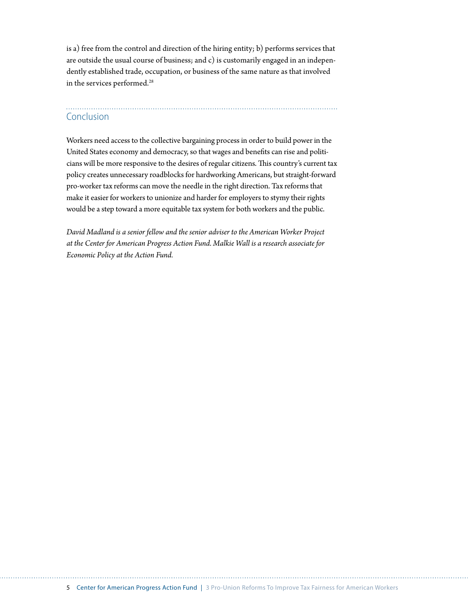is a) free from the control and direction of the hiring entity; b) performs services that are outside the usual course of business; and c) is customarily engaged in an independently established trade, occupation, or business of the same nature as that involved in the services performed.<sup>28</sup>

## Conclusion

Workers need access to the collective bargaining process in order to build power in the United States economy and democracy, so that wages and benefits can rise and politicians will be more responsive to the desires of regular citizens. This country's current tax policy creates unnecessary roadblocks for hardworking Americans, but straight-forward pro-worker tax reforms can move the needle in the right direction. Tax reforms that make it easier for workers to unionize and harder for employers to stymy their rights would be a step toward a more equitable tax system for both workers and the public.

*David Madland is a senior fellow and the senior adviser to the American Worker Project at the Center for American Progress Action Fund. Malkie Wall is a research associate for Economic Policy at the Action Fund.*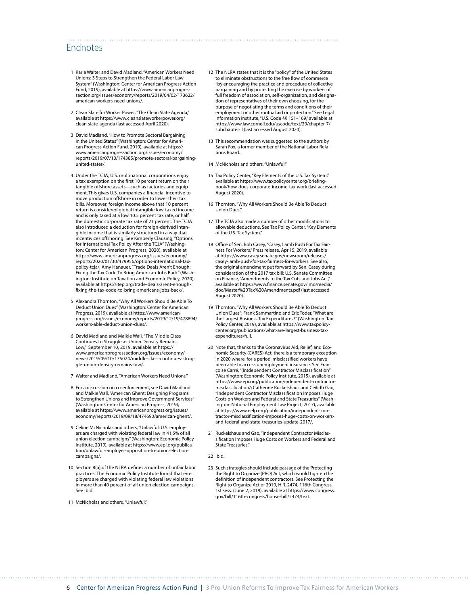### Endnotes

- 1 Karla Walter and David Madland, "American Workers Need Unions: 3 Steps to Strengthen the Federal Labor Law System" (Washington: Center for American Progress Action Fund, 2019), available at [https://www.americanprogres](https://www.americanprogressaction.org/issues/economy/reports/2019/04/02/173622/american-workers-need-unions/)[saction.org/issues/economy/reports/2019/04/02/173622/](https://www.americanprogressaction.org/issues/economy/reports/2019/04/02/173622/american-workers-need-unions/) [american-workers-need-unions/](https://www.americanprogressaction.org/issues/economy/reports/2019/04/02/173622/american-workers-need-unions/).
- 2 Clean Slate for Worker Power, "The Clean Slate Agenda," available at [https://www.cleanslateworkerpower.org/](https://www.cleanslateworkerpower.org/clean-slate-agenda) [clean-slate-agenda](https://www.cleanslateworkerpower.org/clean-slate-agenda) (last accessed April 2020).
- 3 David Madland, "How to Promote Sectoral Bargaining in the United States" (Washington: Center for American Progress Action Fund, 2019), available at [https://](https://www.americanprogressaction.org/issues/economy/reports/2019/07/10/174385/promote-sectoral-bargaining-united-states/) [www.americanprogressaction.org/issues/economy/](https://www.americanprogressaction.org/issues/economy/reports/2019/07/10/174385/promote-sectoral-bargaining-united-states/) [reports/2019/07/10/174385/promote-sectoral-bargaining](https://www.americanprogressaction.org/issues/economy/reports/2019/07/10/174385/promote-sectoral-bargaining-united-states/)[united-states/.](https://www.americanprogressaction.org/issues/economy/reports/2019/07/10/174385/promote-sectoral-bargaining-united-states/)
- 4 Under the TCJA, U.S. multinational corporations enjoy a tax exemption on the first 10 percent return on their tangible offshore assets—such as factories and equipment.This gives U.S. companies a financial incentive to move production offshore in order to lower their tax bills. Moreover, foreign income above that 10 percent return is considered global intangible low-taxed income and is only taxed at a low 10.5 percent tax rate, or half the domestic corporate tax rate of 21 percent. The TCJA also introduced a deduction for foreign-derived intangible income that is similarly structured in a way that incentivizes offshoring. See Kimberly Clausing, "Options for International Tax Policy After the TCJA" (Washington: Center for American Progress, 2020), available at [https://www.americanprogress.org/issues/economy/](https://www.americanprogress.org/issues/economy/reports/2020/01/30/479956/options-international-tax-policy-tcja/) [reports/2020/01/30/479956/options-international-tax-](https://www.americanprogress.org/issues/economy/reports/2020/01/30/479956/options-international-tax-policy-tcja/)[policy-tcja/](https://www.americanprogress.org/issues/economy/reports/2020/01/30/479956/options-international-tax-policy-tcja/); Amy Hanauer, "Trade Deals Aren't Enough: Fixing the Tax Code To Bring American Jobs Back" (Wash-ington: Institute on Taxation and Economic Policy, 2020), available at [https://itep.org/trade-deals-arent-enough](https://itep.org/trade-deals-arent-enough-fixing-the-tax-code-to-bring-americans-jobs-back/)[fixing-the-tax-code-to-bring-americans-jobs-back/.](https://itep.org/trade-deals-arent-enough-fixing-the-tax-code-to-bring-americans-jobs-back/)
- 5 Alexandra Thornton, "Why All Workers Should Be Able To Deduct Union Dues" (Washington: Center for American Progress, 2019), available at [https://www.american](https://www.americanprogress.org/issues/economy/reports/2019/12/19/478894/workers-able-deduct-union-dues/)[progress.org/issues/economy/reports/2019/12/19/478894/](https://www.americanprogress.org/issues/economy/reports/2019/12/19/478894/workers-able-deduct-union-dues/) [workers-able-deduct-union-dues/.](https://www.americanprogress.org/issues/economy/reports/2019/12/19/478894/workers-able-deduct-union-dues/)
- 6 David Madland and Malkie Wall, "The Middle Class Continues to Struggle as Union Density Remains Low," September 10, 2019, available at [https://](https://www.americanprogressaction.org/issues/economy/news/2019/09/10/175024/middle-class-continues-struggle-union-density-remains-low/) [www.americanprogressaction.org/issues/economy/](https://www.americanprogressaction.org/issues/economy/news/2019/09/10/175024/middle-class-continues-struggle-union-density-remains-low/) [news/2019/09/10/175024/middle-class-continues-strug](https://www.americanprogressaction.org/issues/economy/news/2019/09/10/175024/middle-class-continues-struggle-union-density-remains-low/)[gle-union-density-remains-low/](https://www.americanprogressaction.org/issues/economy/news/2019/09/10/175024/middle-class-continues-struggle-union-density-remains-low/).
- 7 Walter and Madland, "American Workers Need Unions."
- 8 For a discussion on co-enforcement, see David Madland and Malkie Wall, "American Ghent: Designing Programs to Strengthen Unions and Improve Government Services" (Washington: Center for American Progress, 2019), available at [https://www.americanprogress.org/issues/](https://www.americanprogress.org/issues/economy/reports/2019/09/18/474690/american-ghent/) [economy/reports/2019/09/18/474690/american-ghent/.](https://www.americanprogress.org/issues/economy/reports/2019/09/18/474690/american-ghent/)
- 9 Celine McNicholas and others, "Unlawful: U.S. employers are charged with violating federal law in 41.5% of all union election campaigns" (Washington: Economic Policy Institute, 2019), available at [https://www.epi.org/publica](https://www.epi.org/publication/unlawful-employer-opposition-to-union-election-campaigns/)[tion/unlawful-employer-opposition-to-union-election](https://www.epi.org/publication/unlawful-employer-opposition-to-union-election-campaigns/)[campaigns/.](https://www.epi.org/publication/unlawful-employer-opposition-to-union-election-campaigns/)
- 10 Section 8(a) of the NLRA defines a number of unfair labor practices. The Economic Policy Institute found that employers are charged with violating federal law violations in more than 40 percent of all union election campaigns. See Ibid.
- 11 McNicholas and others, "Unlawful."
- 12 The NLRA states that it is the "policy" of the United States to eliminate obstructions to the free flow of commerce "by encouraging the practice and procedure of collective bargaining and by protecting the exercise by workers of full freedom of association, self-organization, and designation of representatives of their own choosing, for the purpose of negotiating the terms and conditions of their employment or other mutual aid or protection." See Legal Information Institute, "U.S. Code §§ 151–169," available at [https://www.law.cornell.edu/uscode/text/29/chapter-7/](https://www.law.cornell.edu/uscode/text/29/chapter-7/subchapter-II) [subchapter-II](https://www.law.cornell.edu/uscode/text/29/chapter-7/subchapter-II) (last accessed August 2020).
- 13 This recommendation was suggested to the authors by Sarah Fox, a former member of the National Labor Relations Board.
- 14 McNicholas and others, "Unlawful."

- 15 Tax Policy Center, "Key Elements of the U.S. Tax System," available at [https://www.taxpolicycenter.org/briefing](https://www.taxpolicycenter.org/briefing-book/how-does-corporate-income-tax-work)[book/how-does-corporate-income-tax-work](https://www.taxpolicycenter.org/briefing-book/how-does-corporate-income-tax-work) (last accessed August 2020).
- 16 Thornton, "Why All Workers Should Be Able To Deduct Union Dues."
- 17 The TCJA also made a number of other modifications to allowable deductions. See Tax Policy Center, "Key Elements of the U.S. Tax System."
- 18 Office of Sen. Bob Casey, "Casey, Lamb Push For Tax Fairness For Workers," Press release, April 5, 2019, available at https://www.casey.senate.gov/newsroom/releases/ casey-lamb-push-for-tax-fairness-for-workers. See also, the original amendment put forward by Sen. Casey during consideration of the 2017 tax bill: U.S. Senate Committee on Finance, "Amendments to the Tax Cuts and Jobs Act," available at https://www.finance.senate.gov/imo/media/ doc/Master%20Tax%20Amendments.pdf (last accessed August 2020).
- 19 Thornton, "Why All Workers Should Be Able To Deduct Union Dues"; Frank Sammartino and Eric Toder, "What are the Largest Business Tax Expenditures?" (Washington: Tax Policy Center, 2019), available at [https://www.taxpolicy](https://www.taxpolicycenter.org/publications/what-are-largest-business-tax-expenditures/full)[center.org/publications/what-are-largest-business-tax](https://www.taxpolicycenter.org/publications/what-are-largest-business-tax-expenditures/full)[expenditures/full](https://www.taxpolicycenter.org/publications/what-are-largest-business-tax-expenditures/full).
- 20 Note that, thanks to the Coronavirus Aid, Relief, and Economic Security (CARES) Act, there is a temporary exception in 2020 where, for a period, misclassified workers have been able to access unemployment insurance. See Françoise Carré, "(In)dependent Contractor Misclassification" (Washington: Economic Policy Institute, 2015), available at [https://www.epi.org/publication/independent-contractor](https://www.epi.org/publication/independent-contractor-misclassification/)[misclassification/](https://www.epi.org/publication/independent-contractor-misclassification/); Catherine Ruckelshaus and Ceilidh Gao, "Independent Contractor Misclassification Imposes Huge Costs on Workers and Federal and State Treasuries" (Washington: National Employment Law Project, 2017), available at [https://www.nelp.org/publication/independent-con](https://www.nelp.org/publication/independent-contractor-misclassification-imposes-huge-costs-on-workers-and-federal-and-state-treasuries-update-2017/)[tractor-misclassification-imposes-huge-costs-on-workers](https://www.nelp.org/publication/independent-contractor-misclassification-imposes-huge-costs-on-workers-and-federal-and-state-treasuries-update-2017/)[and-federal-and-state-treasuries-update-2017/](https://www.nelp.org/publication/independent-contractor-misclassification-imposes-huge-costs-on-workers-and-federal-and-state-treasuries-update-2017/).
- 21 Ruckelshaus and Gao, "Independent Contractor Misclassification Imposes Huge Costs on Workers and Federal and State Treasuries."
- 22 Ibid.
- 23 Such strategies should include passage of the Protecting the Right to Organize (PRO) Act, which would tighten the definition of independent contractors. See Protecting the Right to Organize Act of 2019, H.R. 2474, 116th Congress, 1st sess. (June 2, 2019), available at [https://www.congress.](https://www.congress.gov/bill/116th-congress/house-bill/2474/text) [gov/bill/116th-congress/house-bill/2474/text.](https://www.congress.gov/bill/116th-congress/house-bill/2474/text)